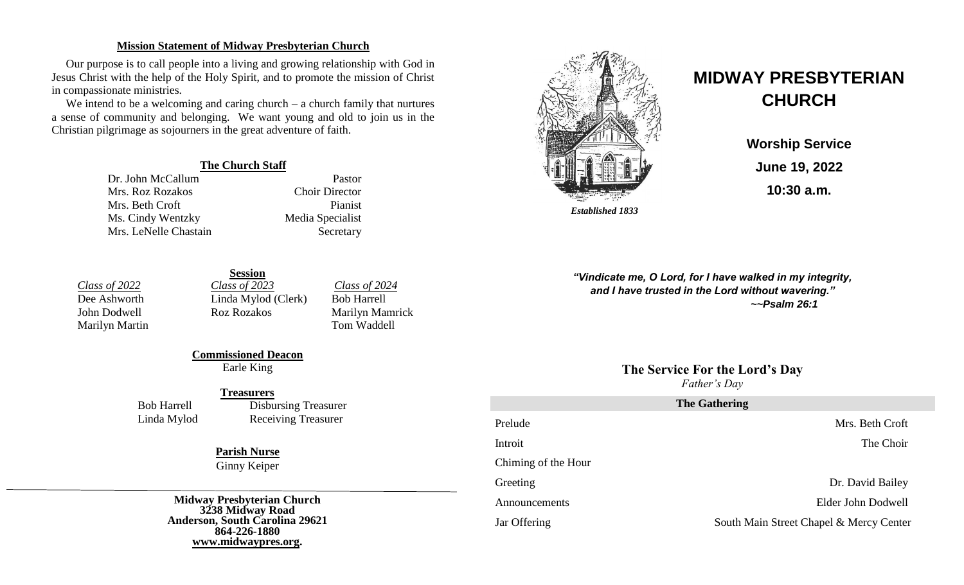### **Mission Statement of Midway Presbyterian Church**

Our purpose is to call people into a living and growing relationship with God in Jesus Christ with the help of the Holy Spirit, and to promote the mission of Christ in compassionate ministries.

We intend to be a welcoming and caring church – a church family that nurtures a sense of community and belonging. We want young and old to join us in the Christian pilgrimage as sojourners in the great adventure of faith.

### **The Church Staff**

Dr. John McCallum Pastor Mrs. Roz Rozakos Choir Director Mrs. Beth Croft Pianist Ms. Cindy Wentzky Media Specialist Mrs. LeNelle Chastain Secretary



# **MIDWAY PRESBYTERIAN CHURCH**

**Worship Service June 19, 2022 10:30 a.m.**

**Session** *Class of 2022 Class of 2023 Class of 2024*<br>
Dee Ashworth **Class** *Class of 2024 Clerk Clerk Class of 2024* Linda Mylod (Clerk) Bob Harrell Marilyn Martin Tom Waddell

John Dodwell Roz Rozakos Marilyn Mamrick

**Commissioned Deacon** Earle King

#### **Treasurers**

Bob Harrell Disbursing Treasurer Linda Mylod Receiving Treasurer

> **Parish Nurse** Ginny Keiper

**Midway Presbyterian Church 3238 Midway Road Anderson, South Carolina 29621 864-226-1880 [www.midwaypres.org.](http://www.midwaypres.org/)**

*"Vindicate me, O Lord, for I have walked in my integrity, and I have trusted in the Lord without wavering." ~~Psalm 26:1*

> **The Service For the Lord's Day** *Father's Day*

| <b>The Gathering</b> |                                         |  |
|----------------------|-----------------------------------------|--|
| Prelude              | Mrs. Beth Croft                         |  |
| Introit              | The Choir                               |  |
| Chiming of the Hour  |                                         |  |
| Greeting             | Dr. David Bailey                        |  |
| Announcements        | Elder John Dodwell                      |  |
| Jar Offering         | South Main Street Chapel & Mercy Center |  |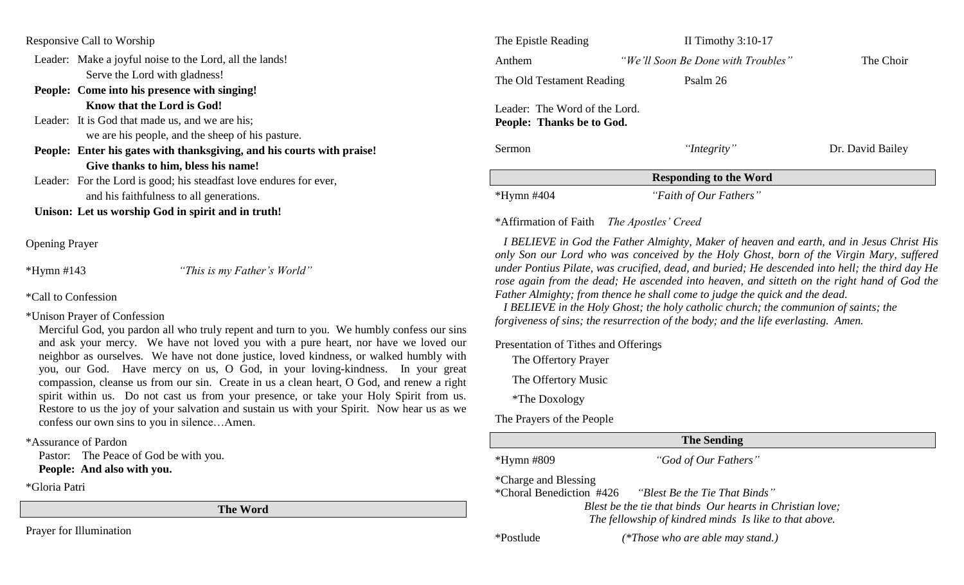| Responsive Call to Worship |  |  |
|----------------------------|--|--|
|----------------------------|--|--|

- Leader: Make a joyful noise to the Lord, all the lands! Serve the Lord with gladness!
- **People: Come into his presence with singing! Know that the Lord is God!**
- Leader: It is God that made us, and we are his: we are his people, and the sheep of his pasture.
- **People: Enter his gates with thanksgiving, and his courts with praise! Give thanks to him, bless his name!**
- Leader: For the Lord is good; his steadfast love endures for ever, and his faithfulness to all generations.

**Unison: Let us worship God in spirit and in truth!**

Opening Prayer

\*Hymn #143 *"This is my Father's World"*

- \*Call to Confession
- \*Unison Prayer of Confession

Merciful God, you pardon all who truly repent and turn to you. We humbly confess our sins and ask your mercy. We have not loved you with a pure heart, nor have we loved our neighbor as ourselves. We have not done justice, loved kindness, or walked humbly with you, our God. Have mercy on us, O God, in your loving-kindness. In your great compassion, cleanse us from our sin. Create in us a clean heart, O God, and renew a right spirit within us. Do not cast us from your presence, or take your Holy Spirit from us. Restore to us the joy of your salvation and sustain us with your Spirit. Now hear us as we confess our own sins to you in silence…Amen.

\*Assurance of Pardon

Pastor: The Peace of God be with you.

**People: And also with you.**

\*Gloria Patri

**The Word**

Prayer for Illumination

| The Epistle Reading                                        | II Timothy $3:10-17$               |                  |  |  |
|------------------------------------------------------------|------------------------------------|------------------|--|--|
| Anthem                                                     | "We'll Soon Be Done with Troubles" | The Choir        |  |  |
| The Old Testament Reading                                  | Psalm 26                           |                  |  |  |
| Leader: The Word of the Lord.<br>People: Thanks be to God. |                                    |                  |  |  |
| <b>Sermon</b>                                              | "Integrity"                        | Dr. David Bailey |  |  |
| <b>Responding to the Word</b>                              |                                    |                  |  |  |
| $*Hymn$ #404                                               | "Faith of Our Fathers"             |                  |  |  |

## \*Affirmation of Faith *The Apostles' Creed*

 *I BELIEVE in God the Father Almighty, Maker of heaven and earth, and in Jesus Christ His only Son our Lord who was conceived by the Holy Ghost, born of the Virgin Mary, suffered under Pontius Pilate, was crucified, dead, and buried; He descended into hell; the third day He rose again from the dead; He ascended into heaven, and sitteth on the right hand of God the Father Almighty; from thence he shall come to judge the quick and the dead.*

 *I BELIEVE in the Holy Ghost; the holy catholic church; the communion of saints; the forgiveness of sins; the resurrection of the body; and the life everlasting. Amen.*

Presentation of Tithes and Offerings

The Offertory Prayer

The Offertory Music

\*The Doxology

The Prayers of the People

# **The Sending**

\*Hymn #809 *"God of Our Fathers"* 

\*Charge and Blessing

\*Choral Benediction #426 *"Blest Be the Tie That Binds"*

*Blest be the tie that binds Our hearts in Christian love; The fellowship of kindred minds Is like to that above.*

\*Postlude *(\*Those who are able may stand.)*